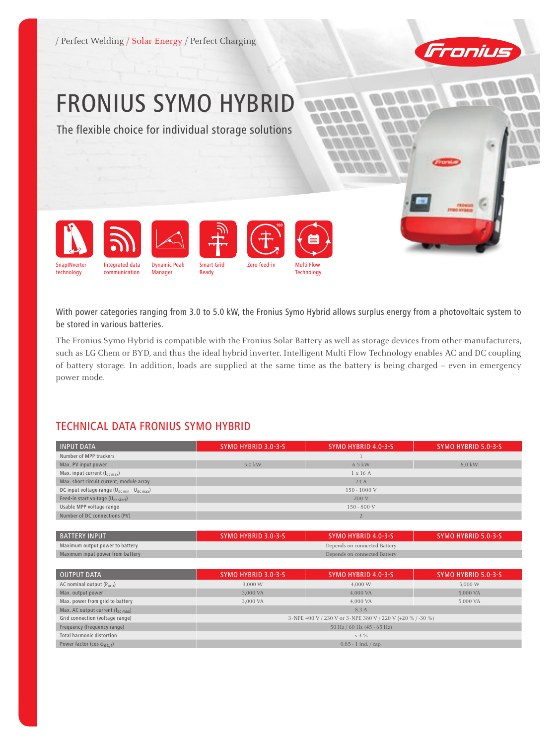



## FRONIUS SYMO HYBRID

The flexible choice for individual storage solutions



With power categories ranging from 3.0 to 5.0 kW, the Fronius Symo Hybrid allows surplus energy from a photovoltaic system to be stored in various batteries.

The Fronius Symo Hybrid is compatible with the Fronius Solar Battery as well as storage devices from other manufacturers, such as LG Chem or BYD, and thus the ideal hybrid inverter. Intelligent Multi Flow Technology enables AC and DC coupling of battery storage. In addition, loads are supplied at the same time as the battery is being charged – even in emergency power mode.

## TECHNICAL DATA Fronius Symo Hybrid

| <b>INPUT DATA</b>                                                   | SYMO HYBRID 3.0-3-S                                        | SYMO HYBRID 4.0-3-S | SYMO HYBRID 5.0-3-S |  |
|---------------------------------------------------------------------|------------------------------------------------------------|---------------------|---------------------|--|
| Number of MPP trackers                                              |                                                            |                     |                     |  |
| Max. PV input power                                                 | 5.0 kW                                                     | $6.5$ kW            | 8.0 kW              |  |
| Max. input current (Idc max)                                        |                                                            | $1 \times 16$ A     |                     |  |
| Max. short circuit current, module array                            | 24 A                                                       |                     |                     |  |
| DC input voltage range (U <sub>dc min</sub> - U <sub>dc max</sub> ) | $150 - 1000$ V                                             |                     |                     |  |
| Feed-in start voltage (U <sub>dc start</sub> )                      | 200 V                                                      |                     |                     |  |
| Usable MPP voltage range                                            | $150 - 800$ V                                              |                     |                     |  |
| Number of DC connections (PV)                                       | $\overline{2}$                                             |                     |                     |  |
|                                                                     |                                                            |                     |                     |  |
| <b>BATTERY INPUT</b>                                                | <b>SYMO HYBRID 3.0-3-S</b>                                 | SYMO HYBRID 4.0-3-S | SYMO HYBRID 5.0-3-S |  |
| Maximum output power to battery                                     | Depends on connected Battery                               |                     |                     |  |
| Maximum input power from battery                                    | Depends on connected Battery                               |                     |                     |  |
|                                                                     |                                                            |                     |                     |  |
| <b>OUTPUT DATA</b>                                                  | SYMO HYBRID 3.0-3-S                                        | SYMO HYBRID 4.0-3-S | SYMO HYBRID 5.0-3-S |  |
| AC nominal output $(P_{ac,r})$                                      | 3,000 W                                                    | 4,000 W             | 5,000 W             |  |
| Max. output power                                                   | 3,000 VA                                                   | 4,000 VA            | 5,000 VA            |  |
| Max. power from grid to battery                                     | 3,000 VA                                                   | 4,000 VA            | 5,000 VA            |  |
| Max. AC output current (lac max)                                    | 8.3 A                                                      |                     |                     |  |
| Grid connection (voltage range)                                     | 3-NPE 400 V / 230 V or 3-NPE 380 V / 220 V (+20 % / -30 %) |                     |                     |  |
| Frequency (frequency range)                                         | 50 Hz / 60 Hz (45 - 65 Hz)                                 |                     |                     |  |
| <b>Total harmonic distortion</b>                                    | $3\%$                                                      |                     |                     |  |
| Power factor (cos $\phi_{\text{aC.F}}$ )                            | $0.85 - 1$ ind. / cap.                                     |                     |                     |  |